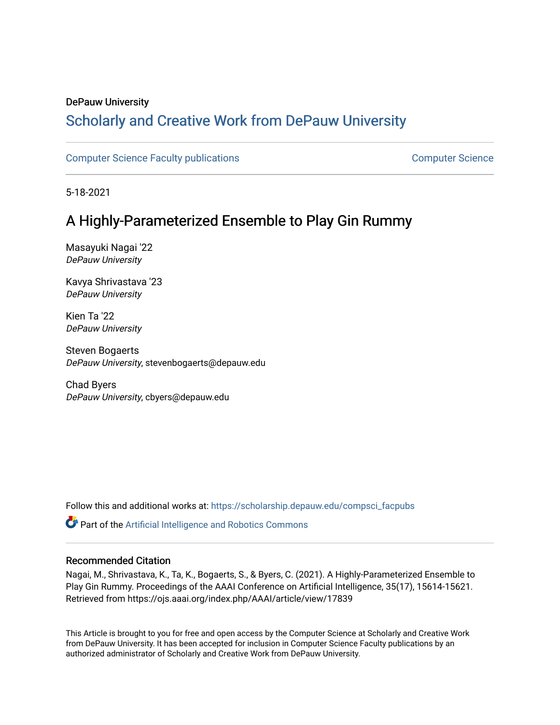# DePauw University

# Scholarly and [Creative Work from DePauw Univ](https://scholarship.depauw.edu/)ersity

[Computer Science Faculty publications](https://scholarship.depauw.edu/compsci_facpubs) [Computer Science](https://scholarship.depauw.edu/computerscience) 

5-18-2021

# A Highly-Parameterized Ensemble to Play Gin Rummy

Masayuki Nagai '22 DePauw University

Kavya Shrivastava '23 DePauw University

Kien Ta '22 DePauw University

Steven Bogaerts DePauw University, stevenbogaerts@depauw.edu

Chad Byers DePauw University, cbyers@depauw.edu

Follow this and additional works at: [https://scholarship.depauw.edu/compsci\\_facpubs](https://scholarship.depauw.edu/compsci_facpubs?utm_source=scholarship.depauw.edu%2Fcompsci_facpubs%2F6&utm_medium=PDF&utm_campaign=PDFCoverPages) 

Part of the [Artificial Intelligence and Robotics Commons](https://network.bepress.com/hgg/discipline/143?utm_source=scholarship.depauw.edu%2Fcompsci_facpubs%2F6&utm_medium=PDF&utm_campaign=PDFCoverPages) 

# Recommended Citation

Nagai, M., Shrivastava, K., Ta, K., Bogaerts, S., & Byers, C. (2021). A Highly-Parameterized Ensemble to Play Gin Rummy. Proceedings of the AAAI Conference on Artificial Intelligence, 35(17), 15614-15621. Retrieved from https://ojs.aaai.org/index.php/AAAI/article/view/17839

This Article is brought to you for free and open access by the Computer Science at Scholarly and Creative Work from DePauw University. It has been accepted for inclusion in Computer Science Faculty publications by an authorized administrator of Scholarly and Creative Work from DePauw University.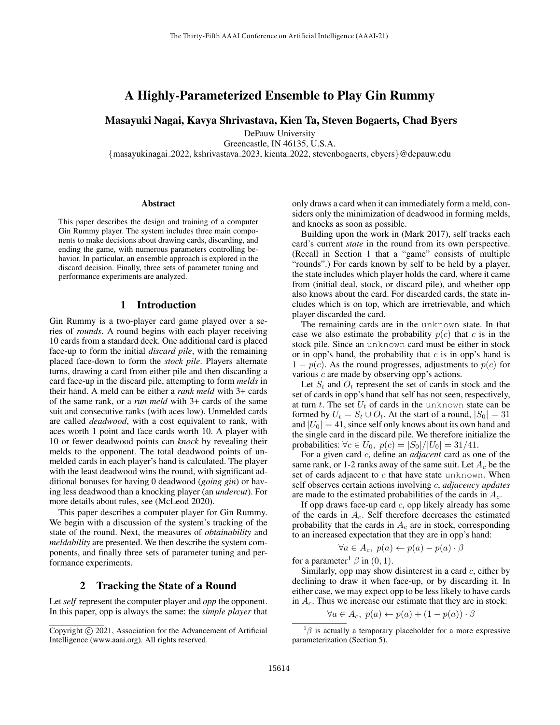# A Highly-Parameterized Ensemble to Play Gin Rummy

Masayuki Nagai, Kavya Shrivastava, Kien Ta, Steven Bogaerts, Chad Byers

DePauw University

Greencastle, IN 46135, U.S.A.

{masayukinagai 2022, kshrivastava 2023, kienta 2022, stevenbogaerts, cbyers}@depauw.edu

#### **Abstract**

This paper describes the design and training of a computer Gin Rummy player. The system includes three main components to make decisions about drawing cards, discarding, and ending the game, with numerous parameters controlling behavior. In particular, an ensemble approach is explored in the discard decision. Finally, three sets of parameter tuning and performance experiments are analyzed.

# 1 Introduction

Gin Rummy is a two-player card game played over a series of *rounds*. A round begins with each player receiving 10 cards from a standard deck. One additional card is placed face-up to form the initial *discard pile*, with the remaining placed face-down to form the *stock pile*. Players alternate turns, drawing a card from either pile and then discarding a card face-up in the discard pile, attempting to form *melds* in their hand. A meld can be either a *rank meld* with 3+ cards of the same rank, or a *run meld* with 3+ cards of the same suit and consecutive ranks (with aces low). Unmelded cards are called *deadwood*, with a cost equivalent to rank, with aces worth 1 point and face cards worth 10. A player with 10 or fewer deadwood points can *knock* by revealing their melds to the opponent. The total deadwood points of unmelded cards in each player's hand is calculated. The player with the least deadwood wins the round, with significant additional bonuses for having 0 deadwood (*going gin*) or having less deadwood than a knocking player (an *undercut*). For more details about rules, see (McLeod 2020).

This paper describes a computer player for Gin Rummy. We begin with a discussion of the system's tracking of the state of the round. Next, the measures of *obtainability* and *meldability* are presented. We then describe the system components, and finally three sets of parameter tuning and performance experiments.

## 2 Tracking the State of a Round

Let *self* represent the computer player and *opp* the opponent. In this paper, opp is always the same: the *simple player* that only draws a card when it can immediately form a meld, considers only the minimization of deadwood in forming melds, and knocks as soon as possible.

Building upon the work in (Mark 2017), self tracks each card's current *state* in the round from its own perspective. (Recall in Section 1 that a "game" consists of multiple "rounds".) For cards known by self to be held by a player, the state includes which player holds the card, where it came from (initial deal, stock, or discard pile), and whether opp also knows about the card. For discarded cards, the state includes which is on top, which are irretrievable, and which player discarded the card.

The remaining cards are in the unknown state. In that case we also estimate the probability  $p(c)$  that c is in the stock pile. Since an unknown card must be either in stock or in opp's hand, the probability that  $c$  is in opp's hand is  $1 - p(c)$ . As the round progresses, adjustments to  $p(c)$  for various c are made by observing opp's actions.

Let  $S_t$  and  $O_t$  represent the set of cards in stock and the set of cards in opp's hand that self has not seen, respectively, at turn t. The set  $U_t$  of cards in the unknown state can be formed by  $U_t = S_t \cup O_t$ . At the start of a round,  $|S_0| = 31$ and  $|U_0| = 41$ , since self only knows about its own hand and the single card in the discard pile. We therefore initialize the probabilities:  $\forall c \in U_0$ ,  $p(c) = |S_0|/|U_0| = 31/41$ .

For a given card c, define an *adjacent* card as one of the same rank, or 1-2 ranks away of the same suit. Let  $A_c$  be the set of cards adjacent to  $c$  that have state unknown. When self observes certain actions involving c, *adjacency updates* are made to the estimated probabilities of the cards in  $A<sub>c</sub>$ .

If opp draws face-up card  $c$ , opp likely already has some of the cards in  $A_c$ . Self therefore decreases the estimated probability that the cards in  $A_c$  are in stock, corresponding to an increased expectation that they are in opp's hand:

$$
\forall a \in A_c, \ p(a) \leftarrow p(a) - p(a) \cdot \beta
$$

for a parameter<sup>1</sup>  $\beta$  in (0, 1).

Similarly, opp may show disinterest in a card  $c$ , either by declining to draw it when face-up, or by discarding it. In either case, we may expect opp to be less likely to have cards in  $A_c$ . Thus we increase our estimate that they are in stock:

$$
\forall a \in A_c, \ p(a) \leftarrow p(a) + (1 - p(a)) \cdot \beta
$$

Copyright (c) 2021, Association for the Advancement of Artificial Intelligence (www.aaai.org). All rights reserved.

 $1\beta$  is actually a temporary placeholder for a more expressive parameterization (Section 5).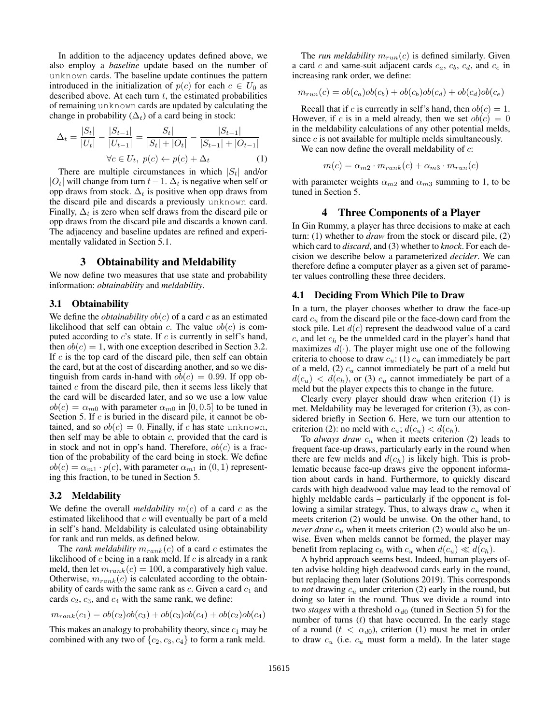In addition to the adjacency updates defined above, we also employ a *baseline* update based on the number of unknown cards. The baseline update continues the pattern introduced in the initialization of  $p(c)$  for each  $c \in U_0$  as described above. At each turn  $t$ , the estimated probabilities of remaining unknown cards are updated by calculating the change in probability  $(\Delta_t)$  of a card being in stock:

$$
\Delta_t = \frac{|S_t|}{|U_t|} - \frac{|S_{t-1}|}{|U_{t-1}|} = \frac{|S_t|}{|S_t| + |O_t|} - \frac{|S_{t-1}|}{|S_{t-1}| + |O_{t-1}|}
$$
  
\n
$$
\forall c \in U_t, \ p(c) \leftarrow p(c) + \Delta_t \tag{1}
$$

There are multiple circumstances in which  $|S_t|$  and/or |O<sub>t</sub>| will change from turn  $t-1$ .  $\Delta_t$  is negative when self or opp draws from stock.  $\Delta_t$  is positive when opp draws from the discard pile and discards a previously unknown card. Finally,  $\Delta_t$  is zero when self draws from the discard pile or opp draws from the discard pile and discards a known card. The adjacency and baseline updates are refined and experimentally validated in Section 5.1.

# 3 Obtainability and Meldability

We now define two measures that use state and probability information: *obtainability* and *meldability*.

#### 3.1 Obtainability

We define the *obtainability*  $ob(c)$  of a card c as an estimated likelihood that self can obtain c. The value  $ob(c)$  is computed according to  $c$ 's state. If  $c$  is currently in self's hand, then  $ob(c) = 1$ , with one exception described in Section 3.2. If  $c$  is the top card of the discard pile, then self can obtain the card, but at the cost of discarding another, and so we distinguish from cards in-hand with  $ob(c) = 0.99$ . If opp obtained  $c$  from the discard pile, then it seems less likely that the card will be discarded later, and so we use a low value  $ob(c) = \alpha_{m0}$  with parameter  $\alpha_{m0}$  in [0,0.5] to be tuned in Section 5. If  $c$  is buried in the discard pile, it cannot be obtained, and so  $ob(c) = 0$ . Finally, if c has state unknown, then self may be able to obtain  $c$ , provided that the card is in stock and not in opp's hand. Therefore,  $ob(c)$  is a fraction of the probability of the card being in stock. We define  $ob(c) = \alpha_{m1} \cdot p(c)$ , with parameter  $\alpha_{m1}$  in  $(0, 1)$  representing this fraction, to be tuned in Section 5.

## 3.2 Meldability

We define the overall *meldability*  $m(c)$  of a card c as the estimated likelihood that  $c$  will eventually be part of a meld in self's hand. Meldability is calculated using obtainability for rank and run melds, as defined below.

The *rank meldability*  $m_{rank}(c)$  of a card c estimates the likelihood of  $c$  being in a rank meld. If  $c$  is already in a rank meld, then let  $m_{rank}(c) = 100$ , a comparatively high value. Otherwise,  $m_{rank}(c)$  is calculated according to the obtainability of cards with the same rank as  $c$ . Given a card  $c_1$  and cards  $c_2$ ,  $c_3$ , and  $c_4$  with the same rank, we define:

$$
m_{rank}(c_1) = ob(c_2)ob(c_3) + ob(c_3)ob(c_4) + ob(c_2)ob(c_4)
$$

This makes an analogy to probability theory, since  $c_1$  may be combined with any two of  $\{c_2, c_3, c_4\}$  to form a rank meld.

The *run meldability*  $m_{run}(c)$  is defined similarly. Given a card  $c$  and same-suit adjacent cards  $c_a$ ,  $c_b$ ,  $c_d$ , and  $c_e$  in increasing rank order, we define:

$$
m_{run}(c) = ob(c_a)ob(c_b) + ob(c_b)ob(c_d) + ob(c_d)ob(c_e)
$$

Recall that if c is currently in self's hand, then  $ob(c) = 1$ . However, if c is in a meld already, then we set  $ob(c) = 0$ in the meldability calculations of any other potential melds, since  $c$  is not available for multiple melds simultaneously.

We can now define the overall meldability of  $c$ :

$$
m(c) = \alpha_{m2} \cdot m_{rank}(c) + \alpha_{m3} \cdot m_{run}(c)
$$

with parameter weights  $\alpha_{m2}$  and  $\alpha_{m3}$  summing to 1, to be tuned in Section 5.

## 4 Three Components of a Player

In Gin Rummy, a player has three decisions to make at each turn: (1) whether to *draw* from the stock or discard pile, (2) which card to *discard*, and (3) whether to *knock*. For each decision we describe below a parameterized *decider*. We can therefore define a computer player as a given set of parameter values controlling these three deciders.

#### 4.1 Deciding From Which Pile to Draw

In a turn, the player chooses whether to draw the face-up card  $c<sub>u</sub>$  from the discard pile or the face-down card from the stock pile. Let  $d(c)$  represent the deadwood value of a card  $c$ , and let  $c<sub>h</sub>$  be the unmelded card in the player's hand that maximizes  $d(\cdot)$ . The player might use one of the following criteria to choose to draw  $c_u$ : (1)  $c_u$  can immediately be part of a meld, (2)  $c_u$  cannot immediately be part of a meld but  $d(c_u) < d(c_h)$ , or (3)  $c_u$  cannot immediately be part of a meld but the player expects this to change in the future.

Clearly every player should draw when criterion (1) is met. Meldability may be leveraged for criterion (3), as considered briefly in Section 6. Here, we turn our attention to criterion (2): no meld with  $c_u$ ;  $d(c_u) < d(c_h)$ .

To *always draw*  $c_u$  when it meets criterion (2) leads to frequent face-up draws, particularly early in the round when there are few melds and  $d(c_h)$  is likely high. This is problematic because face-up draws give the opponent information about cards in hand. Furthermore, to quickly discard cards with high deadwood value may lead to the removal of highly meldable cards – particularly if the opponent is following a similar strategy. Thus, to always draw  $c<sub>u</sub>$  when it meets criterion (2) would be unwise. On the other hand, to *never draw*  $c_u$  when it meets criterion (2) would also be unwise. Even when melds cannot be formed, the player may benefit from replacing  $c_h$  with  $c_u$  when  $d(c_u) \ll d(c_h)$ .

A hybrid approach seems best. Indeed, human players often advise holding high deadwood cards early in the round, but replacing them later (Solutions 2019). This corresponds to *not* drawing  $c_u$  under criterion (2) early in the round, but doing so later in the round. Thus we divide a round into two *stages* with a threshold  $\alpha_{d0}$  (tuned in Section 5) for the number of turns  $(t)$  that have occurred. In the early stage of a round ( $t < \alpha_{d0}$ ), criterion (1) must be met in order to draw  $c_u$  (i.e.  $c_u$  must form a meld). In the later stage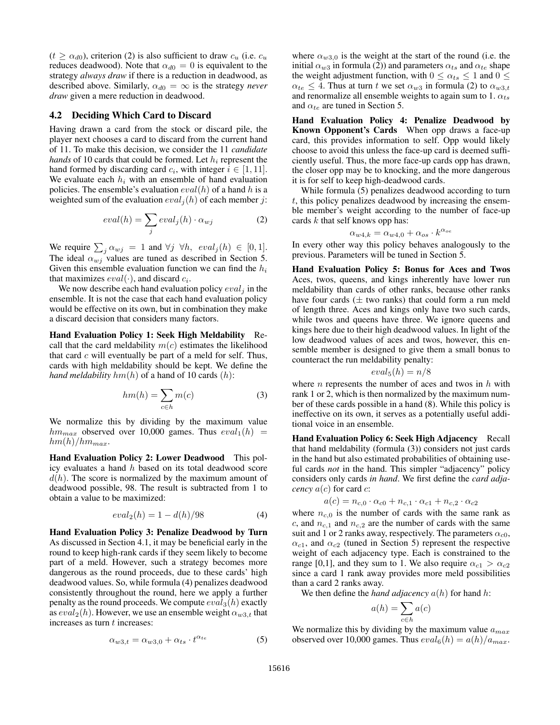$(t \ge \alpha_{d0})$ , criterion (2) is also sufficient to draw  $c_u$  (i.e.  $c_u$ ) reduces deadwood). Note that  $\alpha_{d0} = 0$  is equivalent to the strategy *always draw* if there is a reduction in deadwood, as described above. Similarly,  $\alpha_{d0} = \infty$  is the strategy *never draw* given a mere reduction in deadwood.

#### 4.2 Deciding Which Card to Discard

Having drawn a card from the stock or discard pile, the player next chooses a card to discard from the current hand of 11. To make this decision, we consider the 11 *candidate hands* of 10 cards that could be formed. Let  $h_i$  represent the hand formed by discarding card  $c_i$ , with integer  $i \in [1, 11]$ . We evaluate each  $h_i$  with an ensemble of hand evaluation policies. The ensemble's evaluation  $eval(h)$  of a hand h is a weighted sum of the evaluation  $eval_i(h)$  of each member j:

$$
eval(h) = \sum_{j} eval_j(h) \cdot \alpha_{wj} \tag{2}
$$

We require  $\sum_j \alpha_{wj} = 1$  and  $\forall j \ \forall h, \ eval_j(h) \in [0, 1].$ The ideal  $\alpha_{wi}$  values are tuned as described in Section 5. Given this ensemble evaluation function we can find the  $h_i$ that maximizes  $eval(\cdot)$ , and discard  $c_i$ .

We now describe each hand evaluation policy  $eval_i$  in the ensemble. It is not the case that each hand evaluation policy would be effective on its own, but in combination they make a discard decision that considers many factors.

Hand Evaluation Policy 1: Seek High Meldability Recall that the card meldability  $m(c)$  estimates the likelihood that card  $c$  will eventually be part of a meld for self. Thus, cards with high meldability should be kept. We define the *hand meldability*  $hm(h)$  of a hand of 10 cards  $(h)$ :

$$
hm(h) = \sum_{c \in h} m(c) \tag{3}
$$

We normalize this by dividing by the maximum value  $hm_{max}$  observed over 10,000 games. Thus  $eval_1(h)$  =  $hm(h)/hm_{max}.$ 

Hand Evaluation Policy 2: Lower Deadwood This policy evaluates a hand h based on its total deadwood score  $d(h)$ . The score is normalized by the maximum amount of deadwood possible, 98. The result is subtracted from 1 to obtain a value to be maximized:

$$
eval_2(h) = 1 - d(h)/98 \tag{4}
$$

Hand Evaluation Policy 3: Penalize Deadwood by Turn As discussed in Section 4.1, it may be beneficial early in the round to keep high-rank cards if they seem likely to become part of a meld. However, such a strategy becomes more dangerous as the round proceeds, due to these cards' high deadwood values. So, while formula (4) penalizes deadwood consistently throughout the round, here we apply a further penalty as the round proceeds. We compute  $eval_3(h)$  exactly as  $eval_2(h)$ . However, we use an ensemble weight  $\alpha_{w3,t}$  that increases as turn  $t$  increases:

$$
\alpha_{w3,t} = \alpha_{w3,0} + \alpha_{ts} \cdot t^{\alpha_{te}} \tag{5}
$$

where  $\alpha_{w3,0}$  is the weight at the start of the round (i.e. the initial  $\alpha_{w3}$  in formula (2)) and parameters  $\alpha_{ts}$  and  $\alpha_{te}$  shape the weight adjustment function, with  $0 \le \alpha_{ts} \le 1$  and  $0 \le$  $\alpha_{te} \leq 4$ . Thus at turn t we set  $\alpha_{w3}$  in formula (2) to  $\alpha_{w3,t}$ and renormalize all ensemble weights to again sum to 1.  $\alpha_{ts}$ and  $\alpha_{te}$  are tuned in Section 5.

Hand Evaluation Policy 4: Penalize Deadwood by Known Opponent's Cards When opp draws a face-up card, this provides information to self. Opp would likely choose to avoid this unless the face-up card is deemed sufficiently useful. Thus, the more face-up cards opp has drawn, the closer opp may be to knocking, and the more dangerous it is for self to keep high-deadwood cards.

While formula (5) penalizes deadwood according to turn  $t$ , this policy penalizes deadwood by increasing the ensemble member's weight according to the number of face-up cards  $k$  that self knows opp has:

$$
\alpha_{w4,k} = \alpha_{w4,0} + \alpha_{os} \cdot k^{\alpha_{oe}}
$$

In every other way this policy behaves analogously to the previous. Parameters will be tuned in Section 5.

Hand Evaluation Policy 5: Bonus for Aces and Twos Aces, twos, queens, and kings inherently have lower run meldability than cards of other ranks, because other ranks have four cards  $(\pm$  two ranks) that could form a run meld of length three. Aces and kings only have two such cards, while twos and queens have three. We ignore queens and kings here due to their high deadwood values. In light of the low deadwood values of aces and twos, however, this ensemble member is designed to give them a small bonus to counteract the run meldability penalty:

$$
eval_5(h) = n/8
$$

where *n* represents the number of aces and twos in  $h$  with rank 1 or 2, which is then normalized by the maximum number of these cards possible in a hand (8). While this policy is ineffective on its own, it serves as a potentially useful additional voice in an ensemble.

Hand Evaluation Policy 6: Seek High Adjacency Recall that hand meldability (formula (3)) considers not just cards in the hand but also estimated probabilities of obtaining useful cards *not* in the hand. This simpler "adjacency" policy considers only cards *in hand*. We first define the *card adjacency*  $a(c)$  for card *c*:

$$
a(c) = n_{c,0} \cdot \alpha_{c0} + n_{c,1} \cdot \alpha_{c1} + n_{c,2} \cdot \alpha_{c2}
$$

where  $n_{c,0}$  is the number of cards with the same rank as c, and  $n_{c,1}$  and  $n_{c,2}$  are the number of cards with the same suit and 1 or 2 ranks away, respectively. The parameters  $\alpha_{c0}$ ,  $\alpha_{c1}$ , and  $\alpha_{c2}$  (tuned in Section 5) represent the respective weight of each adjacency type. Each is constrained to the range [0,1], and they sum to 1. We also require  $\alpha_{c1} > \alpha_{c2}$ since a card 1 rank away provides more meld possibilities than a card 2 ranks away.

We then define the *hand adjacency*  $a(h)$  for hand h:

$$
a(h) = \sum_{c \in h} a(c)
$$

We normalize this by dividing by the maximum value  $a_{max}$ observed over 10,000 games. Thus  $eval_6(h) = a(h)/a_{max}$ .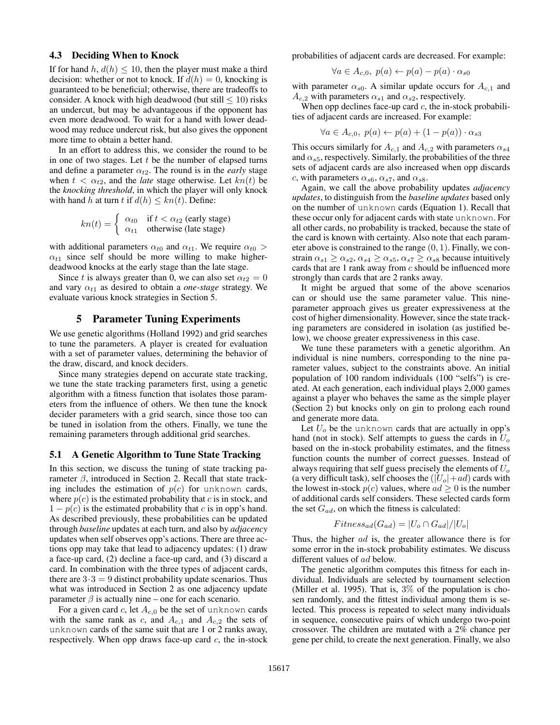#### 4.3 Deciding When to Knock

If for hand  $h, d(h) \leq 10$ , then the player must make a third decision: whether or not to knock. If  $d(h) = 0$ , knocking is guaranteed to be beneficial; otherwise, there are tradeoffs to consider. A knock with high deadwood (but still  $\leq 10$ ) risks an undercut, but may be advantageous if the opponent has even more deadwood. To wait for a hand with lower deadwood may reduce undercut risk, but also gives the opponent more time to obtain a better hand.

In an effort to address this, we consider the round to be in one of two stages. Let  $t$  be the number of elapsed turns and define a parameter  $\alpha_{t2}$ . The round is in the *early* stage when  $t < \alpha_{t2}$ , and the *late* stage otherwise. Let  $kn(t)$  be the *knocking threshold*, in which the player will only knock with hand h at turn t if  $d(h) \leq kn(t)$ . Define:

$$
kn(t) = \begin{cases} \alpha_{t0} & \text{if } t < \alpha_{t2} \text{ (early stage)}\\ \alpha_{t1} & \text{otherwise (late stage)} \end{cases}
$$

with additional parameters  $\alpha_{t0}$  and  $\alpha_{t1}$ . We require  $\alpha_{t0}$  >  $\alpha_{t1}$  since self should be more willing to make higherdeadwood knocks at the early stage than the late stage.

Since t is always greater than 0, we can also set  $\alpha_{t2} = 0$ and vary  $\alpha_{t1}$  as desired to obtain a *one-stage* strategy. We evaluate various knock strategies in Section 5.

# 5 Parameter Tuning Experiments

We use genetic algorithms (Holland 1992) and grid searches to tune the parameters. A player is created for evaluation with a set of parameter values, determining the behavior of the draw, discard, and knock deciders.

Since many strategies depend on accurate state tracking, we tune the state tracking parameters first, using a genetic algorithm with a fitness function that isolates those parameters from the influence of others. We then tune the knock decider parameters with a grid search, since those too can be tuned in isolation from the others. Finally, we tune the remaining parameters through additional grid searches.

### 5.1 A Genetic Algorithm to Tune State Tracking

In this section, we discuss the tuning of state tracking parameter β, introduced in Section 2. Recall that state tracking includes the estimation of  $p(c)$  for unknown cards, where  $p(c)$  is the estimated probability that c is in stock, and  $1 - p(c)$  is the estimated probability that c is in opp's hand. As described previously, these probabilities can be updated through *baseline* updates at each turn, and also by *adjacency* updates when self observes opp's actions. There are three actions opp may take that lead to adjacency updates: (1) draw a face-up card, (2) decline a face-up card, and (3) discard a card. In combination with the three types of adjacent cards, there are  $3 \cdot 3 = 9$  distinct probability update scenarios. Thus what was introduced in Section 2 as one adjacency update parameter  $\beta$  is actually nine – one for each scenario.

For a given card c, let  $A_{c,0}$  be the set of unknown cards with the same rank as c, and  $A_{c,1}$  and  $A_{c,2}$  the sets of unknown cards of the same suit that are 1 or 2 ranks away, respectively. When opp draws face-up card  $c$ , the in-stock probabilities of adjacent cards are decreased. For example:

$$
\forall a \in A_{c,0}, \ p(a) \leftarrow p(a) - p(a) \cdot \alpha_{s0}
$$

with parameter  $\alpha_{s0}$ . A similar update occurs for  $A_{c,1}$  and  $A_{c,2}$  with parameters  $\alpha_{s1}$  and  $\alpha_{s2}$ , respectively.

When opp declines face-up card  $c$ , the in-stock probabilities of adjacent cards are increased. For example:

$$
\forall a \in A_{c,0}, \ p(a) \leftarrow p(a) + (1 - p(a)) \cdot \alpha_{s3}
$$

This occurs similarly for  $A_{c,1}$  and  $A_{c,2}$  with parameters  $\alpha_{s4}$ and  $\alpha_{s5}$ , respectively. Similarly, the probabilities of the three sets of adjacent cards are also increased when opp discards c, with parameters  $\alpha_{s6}$ ,  $\alpha_{s7}$ , and  $\alpha_{s8}$ .

Again, we call the above probability updates *adjacency updates*, to distinguish from the *baseline updates* based only on the number of unknown cards (Equation 1). Recall that these occur only for adjacent cards with state unknown. For all other cards, no probability is tracked, because the state of the card is known with certainty. Also note that each parameter above is constrained to the range  $(0, 1)$ . Finally, we constrain  $\alpha_{s1} \geq \alpha_{s2}, \alpha_{s4} \geq \alpha_{s5}, \alpha_{s7} \geq \alpha_{s8}$  because intuitively cards that are 1 rank away from c should be influenced more strongly than cards that are 2 ranks away.

It might be argued that some of the above scenarios can or should use the same parameter value. This nineparameter approach gives us greater expressiveness at the cost of higher dimensionality. However, since the state tracking parameters are considered in isolation (as justified below), we choose greater expressiveness in this case.

We tune these parameters with a genetic algorithm. An individual is nine numbers, corresponding to the nine parameter values, subject to the constraints above. An initial population of 100 random individuals (100 "selfs") is created. At each generation, each individual plays 2,000 games against a player who behaves the same as the simple player (Section 2) but knocks only on gin to prolong each round and generate more data.

Let  $U<sub>o</sub>$  be the unknown cards that are actually in opp's hand (not in stock). Self attempts to guess the cards in  $U<sub>o</sub>$ based on the in-stock probability estimates, and the fitness function counts the number of correct guesses. Instead of always requiring that self guess precisely the elements of  $U<sub>o</sub>$ (a very difficult task), self chooses the  $(|U_o|+ad)$  cards with the lowest in-stock  $p(c)$  values, where  $ad \geq 0$  is the number of additional cards self considers. These selected cards form the set  $G_{ad}$ , on which the fitness is calculated:

$$
Fitness_{ad}(G_{ad}) = |U_o \cap G_{ad}|/|U_o|
$$

Thus, the higher *ad* is, the greater allowance there is for some error in the in-stock probability estimates. We discuss different values of ad below.

The genetic algorithm computes this fitness for each individual. Individuals are selected by tournament selection (Miller et al. 1995). That is, 3% of the population is chosen randomly, and the fittest individual among them is selected. This process is repeated to select many individuals in sequence, consecutive pairs of which undergo two-point crossover. The children are mutated with a 2% chance per gene per child, to create the next generation. Finally, we also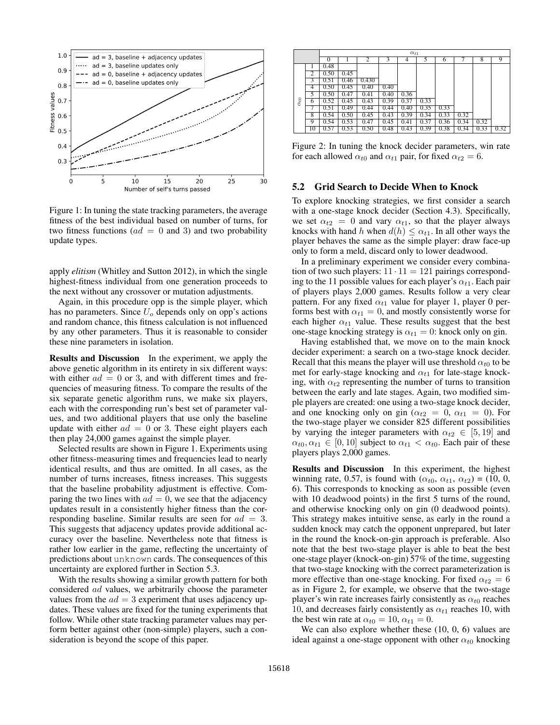

Figure 1: In tuning the state tracking parameters, the average fitness of the best individual based on number of turns, for two fitness functions ( $ad = 0$  and 3) and two probability update types.

apply *elitism* (Whitley and Sutton 2012), in which the single highest-fitness individual from one generation proceeds to the next without any crossover or mutation adjustments.

Again, in this procedure opp is the simple player, which has no parameters. Since  $U<sub>o</sub>$  depends only on opp's actions and random chance, this fitness calculation is not influenced by any other parameters. Thus it is reasonable to consider these nine parameters in isolation.

Results and Discussion In the experiment, we apply the above genetic algorithm in its entirety in six different ways: with either  $ad = 0$  or 3, and with different times and frequencies of measuring fitness. To compare the results of the six separate genetic algorithm runs, we make six players, each with the corresponding run's best set of parameter values, and two additional players that use only the baseline update with either  $ad = 0$  or 3. These eight players each then play 24,000 games against the simple player.

Selected results are shown in Figure 1. Experiments using other fitness-measuring times and frequencies lead to nearly identical results, and thus are omitted. In all cases, as the number of turns increases, fitness increases. This suggests that the baseline probability adjustment is effective. Comparing the two lines with  $ad = 0$ , we see that the adjacency updates result in a consistently higher fitness than the corresponding baseline. Similar results are seen for  $ad = 3$ . This suggests that adjacency updates provide additional accuracy over the baseline. Nevertheless note that fitness is rather low earlier in the game, reflecting the uncertainty of predictions about unknown cards. The consequences of this uncertainty are explored further in Section 5.3.

With the results showing a similar growth pattern for both considered ad values, we arbitrarily choose the parameter values from the  $ad = 3$  experiment that uses adjacency updates. These values are fixed for the tuning experiments that follow. While other state tracking parameter values may perform better against other (non-simple) players, such a consideration is beyond the scope of this paper.

|               |    | $\alpha_{t1}$ |      |                |      |      |      |      |      |      |      |
|---------------|----|---------------|------|----------------|------|------|------|------|------|------|------|
|               |    | $\Omega$      |      | $\overline{2}$ | 3    |      |      | 6    |      | 8    | 9    |
| $\alpha_{t0}$ |    | 0.48          |      |                |      |      |      |      |      |      |      |
|               | 2  | 0.50          | 0.45 |                |      |      |      |      |      |      |      |
|               | 3  | 0.51          | 0.46 | 0.430          |      |      |      |      |      |      |      |
|               | 4  | 0.50          | 0.45 | 0.40           | 0.40 |      |      |      |      |      |      |
|               | 5  | 0.50          | 0.47 | 0.41           | 0.40 | 0.36 |      |      |      |      |      |
|               | 6  | 0.52          | 0.45 | 0.43           | 0.39 | 0.37 | 0.33 |      |      |      |      |
|               | 7  | 0.51          | 0.49 | 0.44           | 0.44 | 0.40 | 0.35 | 0.33 |      |      |      |
|               | 8  | 0.54          | 0.50 | 0.45           | 0.43 | 0.39 | 0.34 | 0.33 | 0.32 |      |      |
|               | 9  | 0.54          | 0.53 | 0.47           | 0.45 | 0.41 | 0.37 | 0.36 | 0.34 | 0.32 |      |
|               | 10 | 0.57          | 0.53 | 0.50           | 0.48 | 0.43 | 0.39 | 0.38 | 0.34 | 0.33 | 0.32 |

Figure 2: In tuning the knock decider parameters, win rate for each allowed  $\alpha_{t0}$  and  $\alpha_{t1}$  pair, for fixed  $\alpha_{t2} = 6$ .

# 5.2 Grid Search to Decide When to Knock

To explore knocking strategies, we first consider a search with a one-stage knock decider (Section 4.3). Specifically, we set  $\alpha_{t2} = 0$  and vary  $\alpha_{t1}$ , so that the player always knocks with hand h when  $d(h) \leq \alpha_{t1}$ . In all other ways the player behaves the same as the simple player: draw face-up only to form a meld, discard only to lower deadwood.

In a preliminary experiment we consider every combination of two such players:  $11 \cdot 11 = 121$  pairings corresponding to the 11 possible values for each player's  $\alpha_{t1}$ . Each pair of players plays 2,000 games. Results follow a very clear pattern. For any fixed  $\alpha_{t1}$  value for player 1, player 0 performs best with  $\alpha_{t1} = 0$ , and mostly consistently worse for each higher  $\alpha_{t1}$  value. These results suggest that the best one-stage knocking strategy is  $\alpha_{t1} = 0$ : knock only on gin.

Having established that, we move on to the main knock decider experiment: a search on a two-stage knock decider. Recall that this means the player will use threshold  $\alpha_{t0}$  to be met for early-stage knocking and  $\alpha_{t1}$  for late-stage knocking, with  $\alpha_{t2}$  representing the number of turns to transition between the early and late stages. Again, two modified simple players are created: one using a two-stage knock decider, and one knocking only on gin ( $\alpha_{t2} = 0$ ,  $\alpha_{t1} = 0$ ). For the two-stage player we consider 825 different possibilities by varying the integer parameters with  $\alpha_{t2} \in [5, 19]$  and  $\alpha_{t0}, \alpha_{t1} \in [0, 10]$  subject to  $\alpha_{t1} < \alpha_{t0}$ . Each pair of these players plays 2,000 games.

Results and Discussion In this experiment, the highest winning rate, 0.57, is found with  $(\alpha_{t0}, \alpha_{t1}, \alpha_{t2})$  = (10, 0, 6). This corresponds to knocking as soon as possible (even with 10 deadwood points) in the first 5 turns of the round, and otherwise knocking only on gin (0 deadwood points). This strategy makes intuitive sense, as early in the round a sudden knock may catch the opponent unprepared, but later in the round the knock-on-gin approach is preferable. Also note that the best two-stage player is able to beat the best one-stage player (knock-on-gin) 57% of the time, suggesting that two-stage knocking with the correct parameterization is more effective than one-stage knocking. For fixed  $\alpha_{t2} = 6$ as in Figure 2, for example, we observe that the two-stage player's win rate increases fairly consistently as  $\alpha_{t0}$  reaches 10, and decreases fairly consistently as  $\alpha_{t1}$  reaches 10, with the best win rate at  $\alpha_{t0} = 10$ ,  $\alpha_{t1} = 0$ .

We can also explore whether these  $(10, 0, 6)$  values are ideal against a one-stage opponent with other  $\alpha_{t0}$  knocking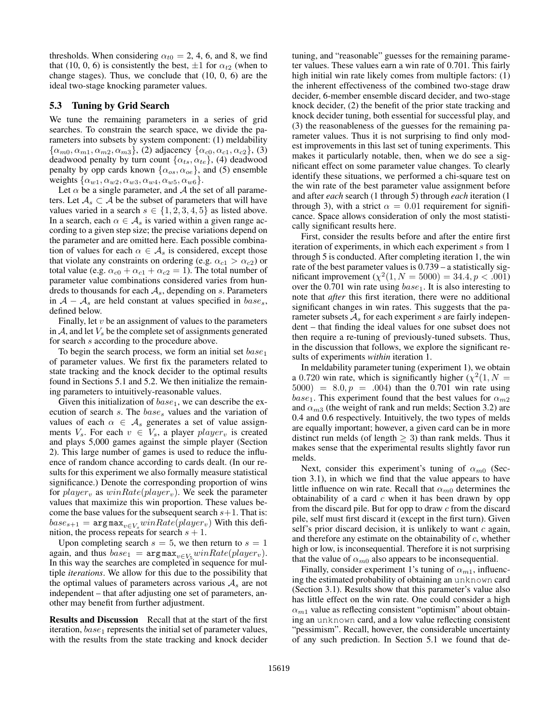thresholds. When considering  $\alpha_{t0} = 2, 4, 6,$  and 8, we find that (10, 0, 6) is consistently the best,  $\pm 1$  for  $\alpha_{t2}$  (when to change stages). Thus, we conclude that (10, 0, 6) are the ideal two-stage knocking parameter values.

# 5.3 Tuning by Grid Search

We tune the remaining parameters in a series of grid searches. To constrain the search space, we divide the parameters into subsets by system component: (1) meldability  $\{\alpha_{m0}, \alpha_{m1}, \alpha_{m2}, \alpha_{m3}\}, (2)$  adjacency  $\{\alpha_{c0}, \alpha_{c1}, \alpha_{c2}\}, (3)$ deadwood penalty by turn count  $\{\alpha_{ts}, \alpha_{te}\},$  (4) deadwood penalty by opp cards known  $\{\alpha_{os}, \alpha_{oe}\}$ , and (5) ensemble weights  $\{\alpha_{w1}, \alpha_{w2}, \alpha_{w3}, \alpha_{w4}, \alpha_{w5}, \alpha_{w6}\}.$ 

Let  $\alpha$  be a single parameter, and  $\mathcal A$  the set of all parameters. Let  $A_s \subset A$  be the subset of parameters that will have values varied in a search  $s \in \{1, 2, 3, 4, 5\}$  as listed above. In a search, each  $\alpha \in A_s$  is varied within a given range according to a given step size; the precise variations depend on the parameter and are omitted here. Each possible combination of values for each  $\alpha \in A_s$  is considered, except those that violate any constraints on ordering (e.g.  $\alpha_{c1} > \alpha_{c2}$ ) or total value (e.g.  $\alpha_{c0} + \alpha_{c1} + \alpha_{c2} = 1$ ). The total number of parameter value combinations considered varies from hundreds to thousands for each  $A_s$ , depending on s. Parameters in  $A - A_s$  are held constant at values specified in  $base_s$ , defined below.

Finally, let  $v$  be an assignment of values to the parameters in  $A$ , and let  $V<sub>s</sub>$  be the complete set of assignments generated for search s according to the procedure above.

To begin the search process, we form an initial set  $base_1$ of parameter values. We first fix the parameters related to state tracking and the knock decider to the optimal results found in Sections 5.1 and 5.2. We then initialize the remaining parameters to intuitively-reasonable values.

Given this initialization of  $base_1$ , we can describe the execution of search  $s$ . The  $base<sub>s</sub>$  values and the variation of values of each  $\alpha \in A_s$  generates a set of value assignments  $V_s$ . For each  $v \in V_s$ , a player  $player_v$  is created and plays 5,000 games against the simple player (Section 2). This large number of games is used to reduce the influence of random chance according to cards dealt. (In our results for this experiment we also formally measure statistical significance.) Denote the corresponding proportion of wins for  $player_v$  as  $winRate(player_v)$ . We seek the parameter values that maximize this win proportion. These values become the base values for the subsequent search  $s+1$ . That is:  $base_{s+1} = \argmax_{v \in V_s} winRate(player_v)$  With this definition, the process repeats for search  $s + 1$ .

Upon completing search  $s = 5$ , we then return to  $s = 1$ again, and thus  $base_1 = \argmax_{v \in V_5} winRate(player_v).$ In this way the searches are completed in sequence for multiple *iterations*. We allow for this due to the possibility that the optimal values of parameters across various  $A_s$  are not independent – that after adjusting one set of parameters, another may benefit from further adjustment.

Results and Discussion Recall that at the start of the first iteration,  $base_1$  represents the initial set of parameter values, with the results from the state tracking and knock decider

tuning, and "reasonable" guesses for the remaining parameter values. These values earn a win rate of 0.701. This fairly high initial win rate likely comes from multiple factors: (1) the inherent effectiveness of the combined two-stage draw decider, 6-member ensemble discard decider, and two-stage knock decider, (2) the benefit of the prior state tracking and knock decider tuning, both essential for successful play, and (3) the reasonableness of the guesses for the remaining parameter values. Thus it is not surprising to find only modest improvements in this last set of tuning experiments. This makes it particularly notable, then, when we do see a significant effect on some parameter value changes. To clearly identify these situations, we performed a chi-square test on the win rate of the best parameter value assignment before and after *each* search (1 through 5) through *each* iteration (1 through 3), with a strict  $\alpha = 0.01$  requirement for significance. Space allows consideration of only the most statistically significant results here.

First, consider the results before and after the entire first iteration of experiments, in which each experiment s from 1 through 5 is conducted. After completing iteration 1, the win rate of the best parameter values is 0.739 – a statistically significant improvement  $(\chi^2(1, N = 5000) = 34.4, p < .001)$ over the 0.701 win rate using  $base_1$ . It is also interesting to note that *after* this first iteration, there were no additional significant changes in win rates. This suggests that the parameter subsets  $A<sub>s</sub>$  for each experiment s are fairly independent – that finding the ideal values for one subset does not then require a re-tuning of previously-tuned subsets. Thus, in the discussion that follows, we explore the significant results of experiments *within* iteration 1.

In meldability parameter tuning (experiment 1), we obtain a 0.720 win rate, which is significantly higher  $(\chi^2(1, N =$  $5000 = 8.0, p = .004$  than the 0.701 win rate using base<sub>1</sub>. This experiment found that the best values for  $\alpha_{m2}$ and  $\alpha_{m3}$  (the weight of rank and run melds; Section 3.2) are 0.4 and 0.6 respectively. Intuitively, the two types of melds are equally important; however, a given card can be in more distinct run melds (of length  $\geq$  3) than rank melds. Thus it makes sense that the experimental results slightly favor run melds.

Next, consider this experiment's tuning of  $\alpha_{m0}$  (Section 3.1), in which we find that the value appears to have little influence on win rate. Recall that  $\alpha_{m0}$  determines the obtainability of a card  $c$  when it has been drawn by opp from the discard pile. But for opp to draw c from the discard pile, self must first discard it (except in the first turn). Given self's prior discard decision, it is unlikely to want  $c$  again, and therefore any estimate on the obtainability of  $c$ , whether high or low, is inconsequential. Therefore it is not surprising that the value of  $\alpha_{m0}$  also appears to be inconsequential.

Finally, consider experiment 1's tuning of  $\alpha_{m1}$ , influencing the estimated probability of obtaining an unknown card (Section 3.1). Results show that this parameter's value also has little effect on the win rate. One could consider a high  $\alpha_{m1}$  value as reflecting consistent "optimism" about obtaining an unknown card, and a low value reflecting consistent "pessimism". Recall, however, the considerable uncertainty of any such prediction. In Section 5.1 we found that de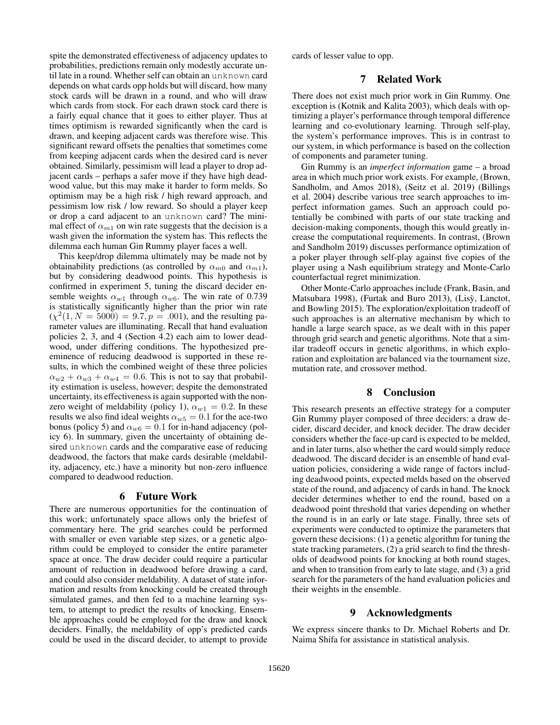spite the demonstrated effectiveness of adjacency updates to probabilities, predictions remain only modestly accurate until late in a round. Whether self can obtain an unknown card depends on what cards opp holds but will discard, how many stock cards will be drawn in a round, and who will draw which cards from stock. For each drawn stock card there is a fairly equal chance that it goes to either player. Thus at times optimism is rewarded significantly when the card is drawn, and keeping adjacent cards was therefore wise. This significant reward offsets the penalties that sometimes come from keeping adjacent cards when the desired card is never obtained. Similarly, pessimism will lead a player to drop adjacent cards – perhaps a safer move if they have high deadwood value, but this may make it harder to form melds. So optimism may be a high risk / high reward approach, and pessimism low risk / low reward. So should a player keep or drop a card adjacent to an unknown card? The minimal effect of  $\alpha_{m1}$  on win rate suggests that the decision is a wash given the information the system has. This reflects the dilemma each human Gin Rummy player faces a well.

This keep/drop dilemma ultimately may be made not by obtainability predictions (as controlled by  $\alpha_{m0}$  and  $\alpha_{m1}$ ), but by considering deadwood points. This hypothesis is confirmed in experiment 5, tuning the discard decider ensemble weights  $\alpha_{w1}$  through  $\alpha_{w6}$ . The win rate of 0.739 is statistically significantly higher than the prior win rate  $(\chi^2(1, N = 5000) = 9.7, p = .001)$ , and the resulting parameter values are illuminating. Recall that hand evaluation policies 2, 3, and 4 (Section 4.2) each aim to lower deadwood, under differing conditions. The hypothesized preeminence of reducing deadwood is supported in these results, in which the combined weight of these three policies  $\alpha_{w2} + \alpha_{w3} + \alpha_{w4} = 0.6$ . This is not to say that probability estimation is useless, however; despite the demonstrated uncertainty, its effectiveness is again supported with the nonzero weight of meldability (policy 1),  $\alpha_{w1} = 0.2$ . In these results we also find ideal weights  $\alpha_{w5} = 0.1$  for the ace-two bonus (policy 5) and  $\alpha_{w6} = 0.1$  for in-hand adjacency (policy 6). In summary, given the uncertainty of obtaining desired unknown cards and the comparative ease of reducing deadwood, the factors that make cards desirable (meldability, adjacency, etc.) have a minority but non-zero influence compared to deadwood reduction.

# 6 Future Work

There are numerous opportunities for the continuation of this work; unfortunately space allows only the briefest of commentary here. The grid searches could be performed with smaller or even variable step sizes, or a genetic algorithm could be employed to consider the entire parameter space at once. The draw decider could require a particular amount of reduction in deadwood before drawing a card, and could also consider meldability. A dataset of state information and results from knocking could be created through simulated games, and then fed to a machine learning system, to attempt to predict the results of knocking. Ensemble approaches could be employed for the draw and knock deciders. Finally, the meldability of opp's predicted cards could be used in the discard decider, to attempt to provide

cards of lesser value to opp.

# 7 Related Work

There does not exist much prior work in Gin Rummy. One exception is (Kotnik and Kalita 2003), which deals with optimizing a player's performance through temporal difference learning and co-evolutionary learning. Through self-play, the system's performance improves. This is in contrast to our system, in which performance is based on the collection of components and parameter tuning.

Gin Rummy is an *imperfect information* game – a broad area in which much prior work exists. For example, (Brown, Sandholm, and Amos 2018), (Seitz et al. 2019) (Billings et al. 2004) describe various tree search approaches to imperfect information games. Such an approach could potentially be combined with parts of our state tracking and decision-making components, though this would greatly increase the computational requirements. In contrast, (Brown and Sandholm 2019) discusses performance optimization of a poker player through self-play against five copies of the player using a Nash equilibrium strategy and Monte-Carlo counterfactual regret minimization.

Other Monte-Carlo approaches include (Frank, Basin, and Matsubara 1998), (Furtak and Buro 2013), (Lisỳ, Lanctot, and Bowling 2015). The exploration/exploitation tradeoff of such approaches is an alternative mechanism by which to handle a large search space, as we dealt with in this paper through grid search and genetic algorithms. Note that a similar tradeoff occurs in genetic algorithms, in which exploration and exploitation are balanced via the tournament size, mutation rate, and crossover method.

# 8 Conclusion

This research presents an effective strategy for a computer Gin Rummy player composed of three deciders: a draw decider, discard decider, and knock decider. The draw decider considers whether the face-up card is expected to be melded, and in later turns, also whether the card would simply reduce deadwood. The discard decider is an ensemble of hand evaluation policies, considering a wide range of factors including deadwood points, expected melds based on the observed state of the round, and adjacency of cards in hand. The knock decider determines whether to end the round, based on a deadwood point threshold that varies depending on whether the round is in an early or late stage. Finally, three sets of experiments were conducted to optimize the parameters that govern these decisions: (1) a genetic algorithm for tuning the state tracking parameters, (2) a grid search to find the thresholds of deadwood points for knocking at both round stages, and when to transition from early to late stage, and (3) a grid search for the parameters of the hand evaluation policies and their weights in the ensemble.

# 9 Acknowledgments

We express sincere thanks to Dr. Michael Roberts and Dr. Naima Shifa for assistance in statistical analysis.